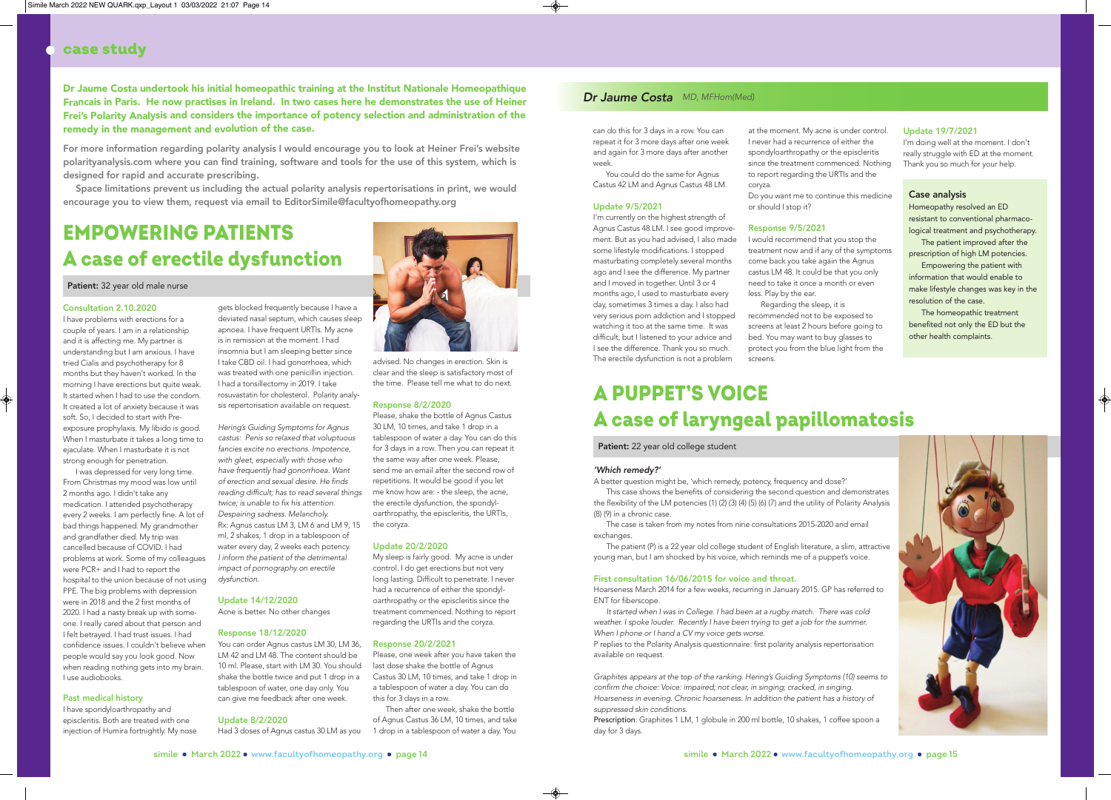# case study

# Consultation 2.10.2020

I have problems with erections for a couple of years. I am in a relationship and it is affecting me. My partner is understanding but I am anxious. I have tried Cialis and psychotherapy for 8 months but they haven't worked. In the morning I have erections but quite weak. It started when I had to use the condom. It created a lot of anxiety because it was soft. So, I decided to start with Preexposure prophylaxis. My libido is good. When I masturbate it takes a long time to ejaculate. When I masturbate it is not strong enough for penetration.

I was depressed for very long time. From Christmas my mood was low until 2 months ago. I didn't take any medication. I attended psychotherapy every 2 weeks. I am perfectly fine. A lot of bad things happened. My grandmother and grandfather died. My trip was cancelled because of COVID. I had problems at work. Some of my colleagues were PCR+ and I had to report the hospital to the union because of not using PPE. The big problems with depression were in 2018 and the 2 first months of 2020. I had a nasty break up with someone. I really cared about that person and I felt betrayed. I had trust issues. I had confidence issues. I couldn't believe when people would say you look good. Now when reading nothing gets into my brain. I use audiobooks.

# Past medical history

I have spondyloarthropathy and episcleritis. Both are treated with one injection of Humira fortnightly. My nose gets blocked frequently because I have a deviated nasal septum, which causes sleep apnoea. I have frequent URTIs. My acne is in remission at the moment. I had insomnia but I am sleeping better since I take CBD oil. I had gonorrhoea, which was treated with one penicillin injection. I had a tonsillectomy in 2019. I take rosuvastatin for cholesterol. Polarity analysis repertorisation available on request.

*Hering's Guiding Symptoms for Agnus castus: Penis so relaxed that voluptuous fancies excite no erections. Impotence, with gleet, especially with those who have frequently had gonorrhoea. Want of erection and sexual desire. He finds reading difficult; has to read several things twice; is unable to fix his attention. Despairing sadness. Melancholy.* Rx: Agnus castus LM 3, LM 6 and LM 9, 15 ml, 2 shakes, 1 drop in a tablespoon of water every day, 2 weeks each potency. *I inform the patient of the detrimental impact of pornography on erectile dysfunction.* 

## Update 14/12/2020

Acne is better. No other changes

# Response 18/12/2020

You can order Agnus castus LM 30, LM 36, LM 42 and LM 48. The content should be 10 ml. Please, start with LM 30. You should shake the bottle twice and put 1 drop in a tablespoon of water, one day only. You can give me feedback after one week.

## Update 8/2/2020

advised. No changes in erection. Skin is clear and the sleep is satisfactory most of the time. Please tell me what to do next.

## Response 8/2/2020

Please, shake the bottle of Agnus Castus 30 LM, 10 times, and take 1 drop in a tablespoon of water a day. You can do this for 3 days in a row. Then you can repeat it the same way after one week. Please, send me an email after the second row of repetitions. It would be good if you let me know how are: - the sleep, the acne, the erectile dysfunction, the spondyloarthropathy, the episcleritis, the URTIs, the coryza.

Had 3 doses of Agnus castus 30 LM as you 1 drop in a tablespoon of water a day. You Then after one week, shake the bottle of Agnus Castus 36 LM, 10 times, and take

# Update 20/2/2020

My sleep is fairly good. My acne is under control. I do get erections but not very long lasting. Difficult to penetrate. I never had a recurrence of either the spondyloarthropathy or the episcleritis since the treatment commenced. Nothing to report regarding the URTIs and the coryza.

# Response 20/2/2021

Please, one week after you have taken the last dose shake the bottle of Agnus Castus 30 LM, 10 times, and take 1 drop in a tablespoon of water a day. You can do this for 3 days in a row.

# EMPOWERING PATIENTS A case of erectile dysfunction



Patient: 32 year old male nurse

can do this for 3 days in a row. You can repeat it for 3 more days after one week and again for 3 more days after another week.

You could do the same for Agnus Castus 42 LM and Agnus Castus 48 LM.

## Update 9/5/2021

I'm currently on the highest strength of Agnus Castus 48 LM. I see good improvement. But as you had advised, I also made some lifestyle modifications. I stopped masturbating completely several months ago and I see the difference. My partner and I moved in together. Until 3 or 4 months ago, I used to masturbate every day, sometimes 3 times a day. I also had very serious porn addiction and I stopped watching it too at the same time. It was difficult, but I listened to your advice and I see the difference. Thank you so much. The erectile dysfunction is not a problem

at the moment. My acne is under control. I never had a recurrence of either the spondyloarthropathy or the episcleritis since the treatment commenced. Nothing to report regarding the URTIs and the coryza.

Do you want me to continue this medicine

or should I stop it?

# Response 9/5/2021

I would recommend that you stop the treatment now and if any of the symptoms come back you take again the Agnus castus LM 48. It could be that you only need to take it once a month or even less. Play by the ear.

Regarding the sleep, it is recommended not to be exposed to screens at least 2 hours before going to bed. You may want to buy glasses to protect you from the blue light from the screens.

# Update 19/7/2021

I'm doing well at the moment. I don't really struggle with ED at the moment. Thank you so much for your help.

Dr Jaume Costa undertook his initial homeopathic training at the Institut Nationale Homeopathique Francais in Paris. He now practises in Ireland. In two cases here he demonstrates the use of Heiner Frei's Polarity Analysis and considers the importance of potency selection and administration of the remedy in the management and evolution of the case.

For more information regarding polarity analysis I would encourage you to look at Heiner Frei's website polarityanalysis.com where you can find training, software and tools for the use of this system, which is designed for rapid and accurate prescribing.

Space limitations prevent us including the actual polarity analysis repertorisations in print, we would encourage you to view them, request via email to EditorSimile@facultyofhomeopathy.org

# *Dr Jaume Costa MD, MFHom(Med)*

# A PUPPET'S VOICE A case of laryngeal papillomatosis

Patient: 22 year old college student

### *'Which remedy?'*

A better question might be, 'which remedy, potency, frequency and dose?' This case shows the benefits of considering the second question and demonstrates the flexibility of the LM potencies (1) (2) (3) (4) (5) (6) (7) and the utility of Polarity Analysis (8) (9) in a chronic case.

The case is taken from my notes from nine consultations 2015-2020 and email exchanges.

The patient (P) is a 22 year old college student of English literature, a slim, attractive young man, but I am shocked by his voice, which reminds me of a puppet's voice.

# First consultation 16/06/2015 for voice and throat.

Hoarseness March 2014 for a few weeks, recurring in January 2015. GP has referred to ENT for fiberscope.

*It started when I was in College. I had been at a rugby match. There was cold weather. I spoke louder. Recently I have been trying to get a job for the summer. When I phone or I hand a CV my voice gets worse.*

P replies to the Polarity Analysis questionnaire: first polarity analysis repertorisation available on request.

*Graphites appears at the top of the ranking. Hering's Guiding Symptoms (10) seems to confirm the choice: Voice: impaired; not clear, in singing; cracked, in singing. Hoarseness in evening. Chronic hoarseness. In addition the patient has a history of suppressed skin conditions.*

Prescription: Graphites 1 LM, 1 globule in 200 ml bottle, 10 shakes, 1 coffee spoon a day for 3 days.

# Case analysis

Homeopathy resolved an ED resistant to conventional pharmacological treatment and psychotherapy.

The patient improved after the prescription of high LM potencies.

Empowering the patient with information that would enable to make lifestyle changes was key in the resolution of the case.

The homeopathic treatment benefited not only the ED but the other health complaints.